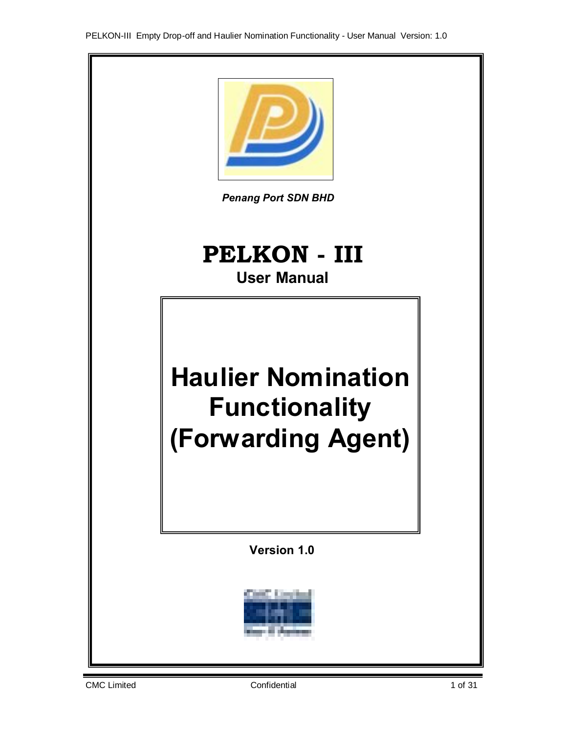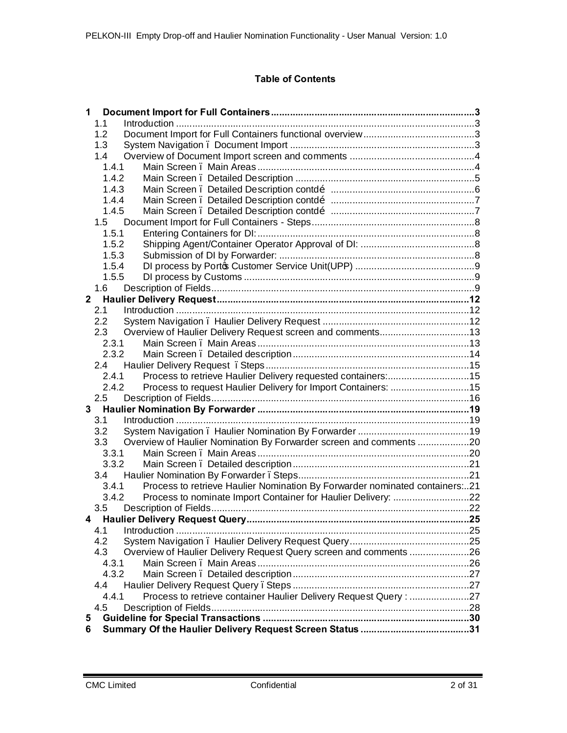# **Table of Contents**

| 1                                                                                   |     |
|-------------------------------------------------------------------------------------|-----|
| 1.1                                                                                 |     |
| 1.2                                                                                 |     |
| 1.3                                                                                 |     |
| 1.4                                                                                 |     |
| 1.4.1                                                                               |     |
| 1.4.2                                                                               |     |
| 1.4.3                                                                               |     |
| 1.4.4                                                                               |     |
| 1.4.5                                                                               |     |
|                                                                                     |     |
| 1.5.1                                                                               |     |
| 1.5.2                                                                               |     |
| 1.5.3                                                                               |     |
| 1.5.4                                                                               |     |
| 1.5.5                                                                               |     |
| 1.6                                                                                 |     |
|                                                                                     |     |
| 2.1                                                                                 |     |
| $2.2\phantom{0}$                                                                    |     |
| Overview of Haulier Delivery Request screen and comments13<br>2.3                   |     |
| 2.3.1                                                                               |     |
| 2.3.2                                                                               |     |
| 2.4                                                                                 |     |
| Process to retrieve Haulier Delivery requested containers:15<br>2.4.1               |     |
| 2.4.2<br>Process to request Haulier Delivery for Import Containers: 15              |     |
| 2.5                                                                                 |     |
|                                                                                     |     |
| 3.1                                                                                 |     |
| 3.2                                                                                 |     |
| Overview of Haulier Nomination By Forwarder screen and comments 20<br>3.3           |     |
| 3.3.1                                                                               |     |
| 3.3.2                                                                               |     |
|                                                                                     |     |
| Process to retrieve Haulier Nomination By Forwarder nominated containers21<br>3.4.1 |     |
| 3.4.2<br>Process to nominate Import Container for Haulier Delivery: 22              |     |
|                                                                                     |     |
|                                                                                     | .25 |
| 4.1                                                                                 |     |
| 4.2                                                                                 |     |
| 4.3<br>Overview of Haulier Delivery Request Query screen and comments 26            |     |
| 4.3.1                                                                               |     |
| 4.3.2                                                                               |     |
| 4.4                                                                                 |     |
| Process to retrieve container Haulier Delivery Request Query : 27<br>4.4.1          |     |
| 4.5                                                                                 |     |
| 5                                                                                   |     |
| 6                                                                                   |     |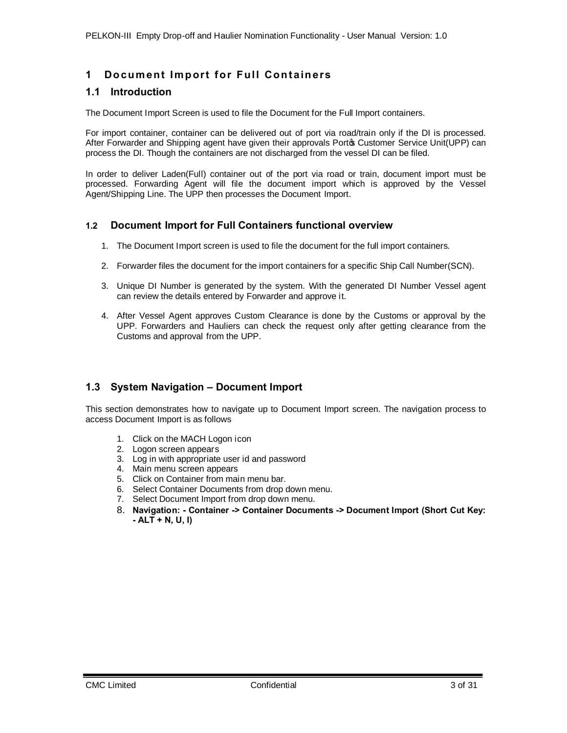# **1** Document Import for Full Containers

# **1.1 Introduction**

The Document Import Screen is used to file the Document for the Full Import containers.

For import container, container can be delivered out of port via road/train only if the DI is processed. After Forwarder and Shipping agent have given their approvals Porto Customer Service Unit(UPP) can process the DI. Though the containers are not discharged from the vessel DI can be filed.

In order to deliver Laden(Full) container out of the port via road or train, document import must be processed. Forwarding Agent will file the document import which is approved by the Vessel Agent/Shipping Line. The UPP then processes the Document Import.

# **1.2 Document Import for Full Containers functional overview**

- 1. The Document Import screen is used to file the document for the full import containers.
- 2. Forwarder files the document for the import containers for a specific Ship Call Number(SCN).
- 3. Unique DI Number is generated by the system. With the generated DI Number Vessel agent can review the details entered by Forwarder and approve it.
- 4. After Vessel Agent approves Custom Clearance is done by the Customs or approval by the UPP. Forwarders and Hauliers can check the request only after getting clearance from the Customs and approval from the UPP.

# **1.3 System Navigation – Document Import**

This section demonstrates how to navigate up to Document Import screen. The navigation process to access Document Import is as follows

- 1. Click on the MACH Logon icon
- 2. Logon screen appears
- 3. Log in with appropriate user id and password
- 4. Main menu screen appears
- 5. Click on Container from main menu bar.
- 6. Select Container Documents from drop down menu.
- 7. Select Document Import from drop down menu.
- <span id="page-2-1"></span><span id="page-2-0"></span>8. **Navigation: - Container -> Container Documents -> Document Import (Short Cut Key: - ALT + N, U, I)**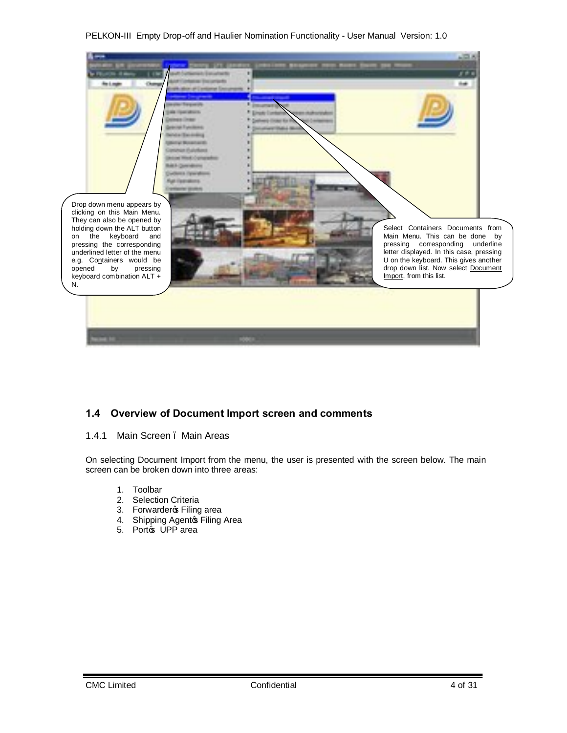

# **1.4 Overview of Document Import screen and comments**

### 1.4.1 Main Screen . Main Areas

On selecting Document Import from the menu, the user is presented with the screen below. The main screen can be broken down into three areas:

- 1. Toolbar
- 2. Selection Criteria
- 3. Forwarderc Filing area
- 4. Shipping Agentos Filing Area
- <span id="page-3-1"></span><span id="page-3-0"></span>5. Porto UPP area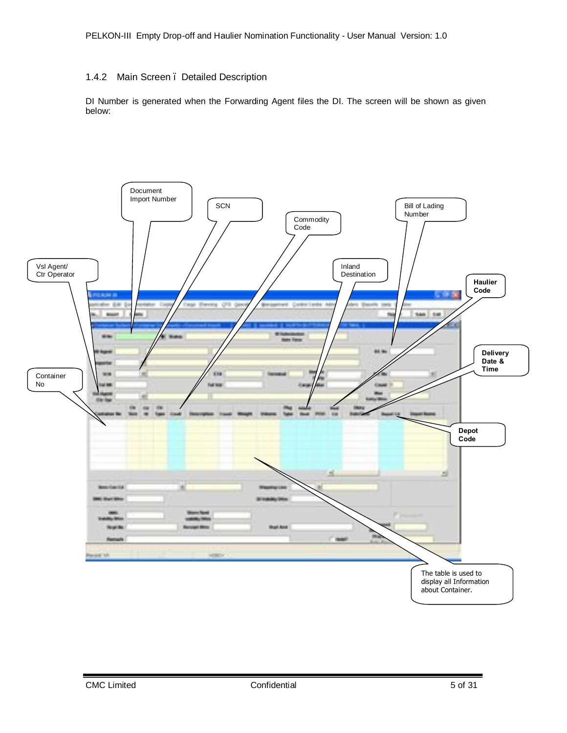# 1.4.2 Main Screen – Detailed Description

<span id="page-4-0"></span>DI Number is generated when the Forwarding Agent files the DI. The screen will be shown as given below:

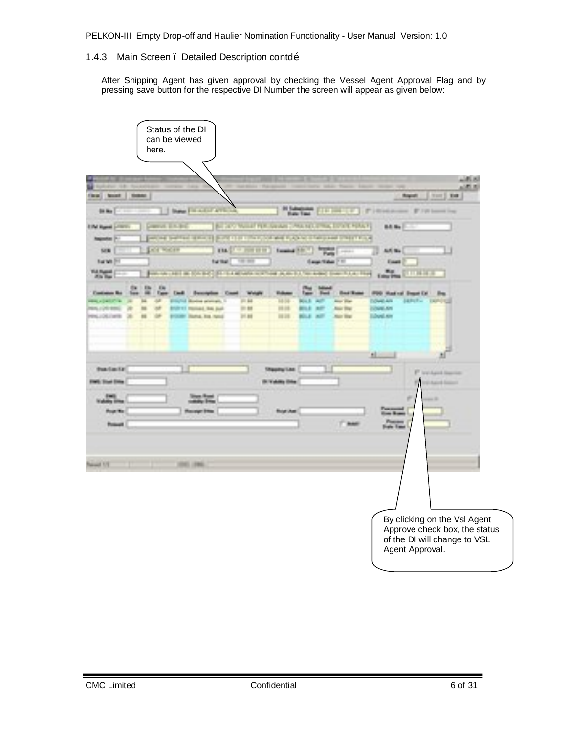### 1.4.3 Main Screen . Detailed Description contdo»

After Shipping Agent has given approval by checking the Vessel Agent Approval Flag and by pressing save button for the respective DI Number the screen will appear as given below:

<span id="page-5-0"></span>

| here.                                         | Status of the DI<br>can be viewed                |                                                               |                                                                            |                                                                                   |                        |
|-----------------------------------------------|--------------------------------------------------|---------------------------------------------------------------|----------------------------------------------------------------------------|-----------------------------------------------------------------------------------|------------------------|
|                                               |                                                  |                                                               |                                                                            |                                                                                   | <b>LONEX</b><br>100000 |
| <b>SHAW</b><br><b>Class</b><br><b>Several</b> |                                                  |                                                               |                                                                            | man 1<br><b>Barnett</b>                                                           | <b>THE</b>             |
| <b>Ballion</b>                                | <b>Date For Call Avenue</b>                      | <b>BY SAIN</b>                                                | <b>The Communist Communist</b><br><b>Hate Taxe</b>                         | P. Hindawan<br>IT I'll became they                                                |                        |
| <b>CONTRACTOR</b><br><b>Elfa</b> t Har        |                                                  |                                                               | the same bound to the centers' Process in the Lond Process.                | <b>Bill Big</b>                                                                   |                        |
| <b><i><u>Registration</u></i></b>             | - - 1                                            |                                                               | provided a control of the season of the season of the season of the season |                                                                                   |                        |
| <b>Early Michael</b><br><b>SER</b>            | <b>TELL</b>                                      | <b>Expertise State Of</b><br><b>Commence</b>                  | <b>1979 - 1979</b><br>Page.                                                | 68 No.                                                                            |                        |
| Service.<br>154.05                            | <b>Salting</b>                                   | --<br>and an interest of the management was a part of the way | <b>Countine Pro</b><br><b>State of the </b>                                | <b>Court</b><br>a Bibli<br><b>TELEVISION</b>                                      |                        |
| 通販 職                                          |                                                  |                                                               |                                                                            |                                                                                   |                        |
| EB.<br>an a<br><b>THE</b>                     |                                                  | <b>Weight</b><br>- -<br><b>HIGH</b>                           | <b>ALCOHOL:</b><br>. .                                                     | FOR Heating Separation<br><b>Power Are</b><br><b>ARRIVER</b><br><b>CONTRACTOR</b> |                        |
| 用用                                            | <b>ALL RINE DUAN</b><br><b>Contract Contract</b> | <b>DE DE</b><br><b>21.85</b>                                  | <b>ABT</b><br><b>Sept Disk</b><br>- 1                                      | <b>CONTRACTOR</b>                                                                 |                        |
|                                               | POOP RING Rd. No.1                               | 折样<br><b>PERSON</b>                                           | <b>BOLL ART</b><br><b>Star Bay</b>                                         | <b>Block on</b>                                                                   |                        |
|                                               |                                                  |                                                               |                                                                            |                                                                                   |                        |
|                                               |                                                  |                                                               |                                                                            | $\mathbf{d}$                                                                      |                        |
| that factor                                   |                                                  | <b><i>Chamber Cast</i></b>                                    |                                                                            |                                                                                   |                        |
| <b>Brook Street</b>                           |                                                  | <b>Birthda</b>                                                |                                                                            | P. Incident Service<br><b>CEASING</b>                                             |                        |
|                                               |                                                  |                                                               |                                                                            | if.                                                                               |                        |
| <b>Phone: May</b>                             | <b><i>Plannings</i></b> \$1500                   | <b>Box Aut</b>                                                |                                                                            |                                                                                   |                        |
| <b><i><u>Secure 19</u></i></b>                |                                                  |                                                               | ۳<br><b>Blue</b>                                                           | JB.<br>æ.<br><b>Built from</b>                                                    |                        |
|                                               |                                                  |                                                               |                                                                            |                                                                                   |                        |
|                                               |                                                  |                                                               |                                                                            |                                                                                   |                        |
| <b>State Street</b>                           | 100311004                                        |                                                               |                                                                            |                                                                                   |                        |
|                                               |                                                  |                                                               |                                                                            |                                                                                   |                        |
|                                               |                                                  |                                                               |                                                                            |                                                                                   |                        |
|                                               |                                                  |                                                               |                                                                            |                                                                                   |                        |
|                                               |                                                  |                                                               |                                                                            | By clicking on the VsI Agent                                                      |                        |
|                                               |                                                  |                                                               |                                                                            | Approve check box, the status                                                     |                        |
|                                               |                                                  |                                                               |                                                                            | of the DI will change to VSL<br>Agent Approval.                                   |                        |
|                                               |                                                  |                                                               |                                                                            |                                                                                   |                        |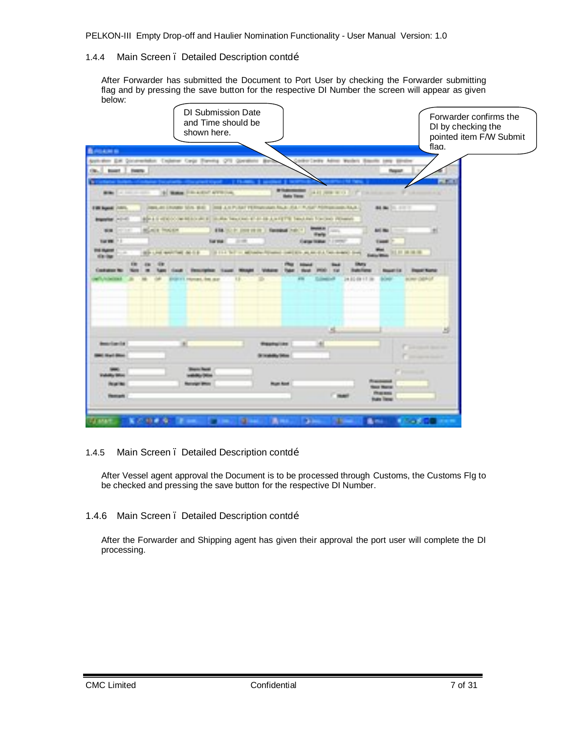### 1.4.4 Main Screen . Detailed Description contdom

After Forwarder has submitted the Document to Port User by checking the Forwarder submitting flag and by pressing the save button for the respective DI Number the screen will appear as given below:

| <b>BASKATE</b><br>Collections &<br>EX Occasions Cabinet Cago Favora O'S Gord<br><b>Hillery</b><br><b>Service</b><br>cia.<br><b>British</b><br><b>Bandy</b><br><b>The control</b><br>m.<br>. н.<br>4 Same Printers average<br><b>CARD COMMITTEE IN CARD COMMITTEE</b><br><b>British</b><br>and the con-<br>$-11.01$<br><b>SHEARTHANT PERMIT AND CALLS</b><br><b>SHERE</b><br><b>Southern Co</b><br>Copyright Chrysler School Bldg.<br><b>BUSINESS</b><br><b>COMMAND ROLLS</b><br>(C) as the locality of the stage ways and all all the party that have been been party different<br><b>STATISTICS</b><br>₩<br><b>Book Process</b><br><b>TIME</b><br><b>Ball May</b><br><b>Service Ave. 1</b><br><b>System and the Council</b><br><b>STATISTICS</b><br><b>THE R</b><br><b>Satisfact</b><br>Carpo States<br><b>College College</b><br><b>Barriette</b><br>-<br><b>STANDS</b><br>--<br><b>Carl Carl Committee Street Carl</b><br><b>BE BY DETAILS</b><br>an an a<br>÷<br><b>HER HOLD</b><br>聊<br>24.00 00 11 00<br><b>DOMESTIC</b><br><b>CHARL FOR ALLEY</b><br>a,<br>as rigarita<br>÷<br><b>PERSONAL PROPERTY</b><br><b>Continued from the</b><br>Prima and<br><b>Mark Aven</b><br><b>INDUSTRIA</b> | <b>DI Submission Date</b><br>and Time should be<br>shown here. |  | Forwarder confirms the<br>DI by checking the<br>pointed item F/W Submit<br>flag. |
|--------------------------------------------------------------------------------------------------------------------------------------------------------------------------------------------------------------------------------------------------------------------------------------------------------------------------------------------------------------------------------------------------------------------------------------------------------------------------------------------------------------------------------------------------------------------------------------------------------------------------------------------------------------------------------------------------------------------------------------------------------------------------------------------------------------------------------------------------------------------------------------------------------------------------------------------------------------------------------------------------------------------------------------------------------------------------------------------------------------------------------------------------------------------------------------------------|----------------------------------------------------------------|--|----------------------------------------------------------------------------------|
|                                                                                                                                                                                                                                                                                                                                                                                                                                                                                                                                                                                                                                                                                                                                                                                                                                                                                                                                                                                                                                                                                                                                                                                                  |                                                                |  |                                                                                  |
|                                                                                                                                                                                                                                                                                                                                                                                                                                                                                                                                                                                                                                                                                                                                                                                                                                                                                                                                                                                                                                                                                                                                                                                                  |                                                                |  |                                                                                  |
|                                                                                                                                                                                                                                                                                                                                                                                                                                                                                                                                                                                                                                                                                                                                                                                                                                                                                                                                                                                                                                                                                                                                                                                                  |                                                                |  |                                                                                  |
|                                                                                                                                                                                                                                                                                                                                                                                                                                                                                                                                                                                                                                                                                                                                                                                                                                                                                                                                                                                                                                                                                                                                                                                                  |                                                                |  |                                                                                  |
|                                                                                                                                                                                                                                                                                                                                                                                                                                                                                                                                                                                                                                                                                                                                                                                                                                                                                                                                                                                                                                                                                                                                                                                                  |                                                                |  |                                                                                  |
|                                                                                                                                                                                                                                                                                                                                                                                                                                                                                                                                                                                                                                                                                                                                                                                                                                                                                                                                                                                                                                                                                                                                                                                                  |                                                                |  |                                                                                  |
|                                                                                                                                                                                                                                                                                                                                                                                                                                                                                                                                                                                                                                                                                                                                                                                                                                                                                                                                                                                                                                                                                                                                                                                                  |                                                                |  |                                                                                  |
|                                                                                                                                                                                                                                                                                                                                                                                                                                                                                                                                                                                                                                                                                                                                                                                                                                                                                                                                                                                                                                                                                                                                                                                                  |                                                                |  |                                                                                  |
|                                                                                                                                                                                                                                                                                                                                                                                                                                                                                                                                                                                                                                                                                                                                                                                                                                                                                                                                                                                                                                                                                                                                                                                                  |                                                                |  |                                                                                  |
|                                                                                                                                                                                                                                                                                                                                                                                                                                                                                                                                                                                                                                                                                                                                                                                                                                                                                                                                                                                                                                                                                                                                                                                                  |                                                                |  |                                                                                  |
| <b><i><u>PRINTER</u></i></b><br><b>LESS</b>                                                                                                                                                                                                                                                                                                                                                                                                                                                                                                                                                                                                                                                                                                                                                                                                                                                                                                                                                                                                                                                                                                                                                      |                                                                |  |                                                                                  |

### 1.4.5 Main Screen . Detailed Description contdom

After Vessel agent approval the Document is to be processed through Customs, the Customs Flg to be checked and pressing the save button for the respective DI Number.

### 1.4.6 Main Screen . Detailed Description contdõ

<span id="page-6-0"></span>After the Forwarder and Shipping agent has given their approval the port user will complete the DI processing.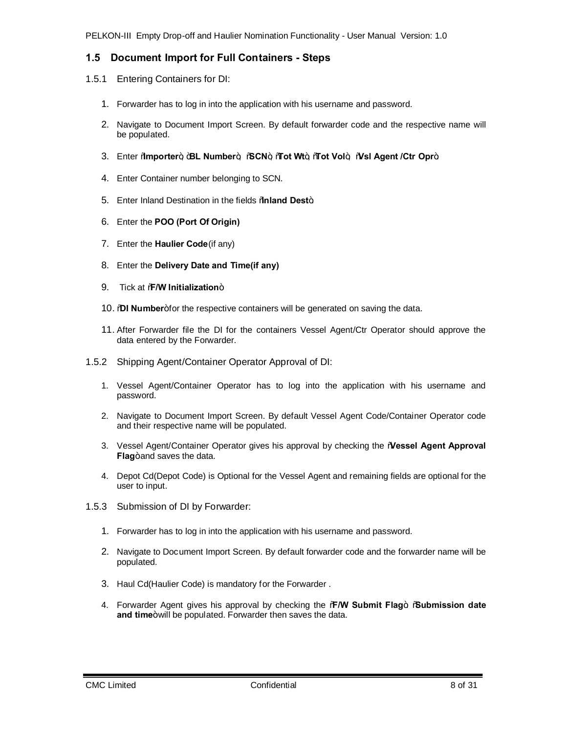# **1.5 Document Import for Full Containers - Steps**

- 1.5.1 Entering Containers for DI:
	- 1. Forwarder has to log in into the application with his username and password.
	- 2. Navigate to Document Import Screen. By default forwarder code and the respective name will be populated.
	- 3. Enter "**Importer**", "**BL Number**", "**SCN**", "**Tot Wt**", "**Tot Vol**", "**Vsl Agent /Ctr Opr**".
	- 4. Enter Container number belonging to SCN.
	- 5. Enter Inland Destination in the fields **%aland Dest**+.
	- 6. Enter the **POO (Port Of Origin)**
	- 7. Enter the **Haulier Code**(if any)
	- 8. Enter the **Delivery Date and Time(if any)**
	- 9. Tick at **%W Initialization**+
	- 10. **DI Number**+for the respective containers will be generated on saving the data.
	- 11. After Forwarder file the DI for the containers Vessel Agent/Ctr Operator should approve the data entered by the Forwarder.
- 1.5.2 Shipping Agent/Container Operator Approval of DI:
	- 1. Vessel Agent/Container Operator has to log into the application with his username and password.
	- 2. Navigate to Document Import Screen. By default Vessel Agent Code/Container Operator code and their respective name will be populated.
	- 3. Vessel Agent/Container Operator gives his approval by checking the "**Vessel Agent Approval Flag**+and saves the data.
	- 4. Depot Cd(Depot Code) is Optional for the Vessel Agent and remaining fields are optional for the user to input.
- <span id="page-7-1"></span><span id="page-7-0"></span>1.5.3 Submission of DI by Forwarder:
	- 1. Forwarder has to log in into the application with his username and password.
	- 2. Navigate to Document Import Screen. By default forwarder code and the forwarder name will be populated.
	- 3. Haul Cd(Haulier Code) is mandatory for the Forwarder .
	- 4. Forwarder Agent gives his approval by checking the "**F/W Submit Flag**". "**Submission date**  and time+will be populated. Forwarder then saves the data.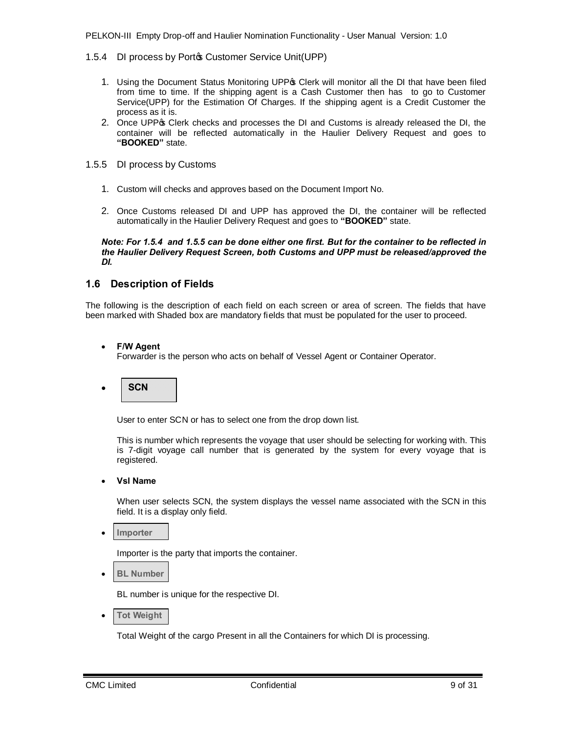- 1.5.4 DI process by Porto Customer Service Unit(UPP)
	- 1. Using the Document Status Monitoring UPP of Clerk will monitor all the DI that have been filed from time to time. If the shipping agent is a Cash Customer then has to go to Customer Service(UPP) for the Estimation Of Charges. If the shipping agent is a Credit Customer the process as it is.
	- 2. Once UPPG Clerk checks and processes the DI and Customs is already released the DI, the container will be reflected automatically in the Haulier Delivery Request and goes to **"BOOKED"** state.
- 1.5.5 DI process by Customs
	- 1. Custom will checks and approves based on the Document Import No.
	- 2. Once Customs released DI and UPP has approved the DI, the container will be reflected automatically in the Haulier Delivery Request and goes to **"BOOKED"** state.

*Note: For 1.5.4 and 1.5.5 can be done either one first. But for the container to be reflected in the Haulier Delivery Request Screen, both Customs and UPP must be released/approved the DI.*

# **1.6 Description of Fields**

The following is the description of each field on each screen or area of screen. The fields that have been marked with Shaded box are mandatory fields that must be populated for the user to proceed.

### · **F/W Agent**

Forwarder is the person who acts on behalf of Vessel Agent or Container Operator.



User to enter SCN or has to select one from the drop down list.

This is number which represents the voyage that user should be selecting for working with. This is 7-digit voyage call number that is generated by the system for every voyage that is registered.

· **Vsl Name**

When user selects SCN, the system displays the vessel name associated with the SCN in this field. It is a display only field.

· **Importer**

Importer is the party that imports the container.

**BL** Number

BL number is unique for the respective DI.

**Tot Weight** 

<span id="page-8-1"></span><span id="page-8-0"></span>Total Weight of the cargo Present in all the Containers for which DI is processing.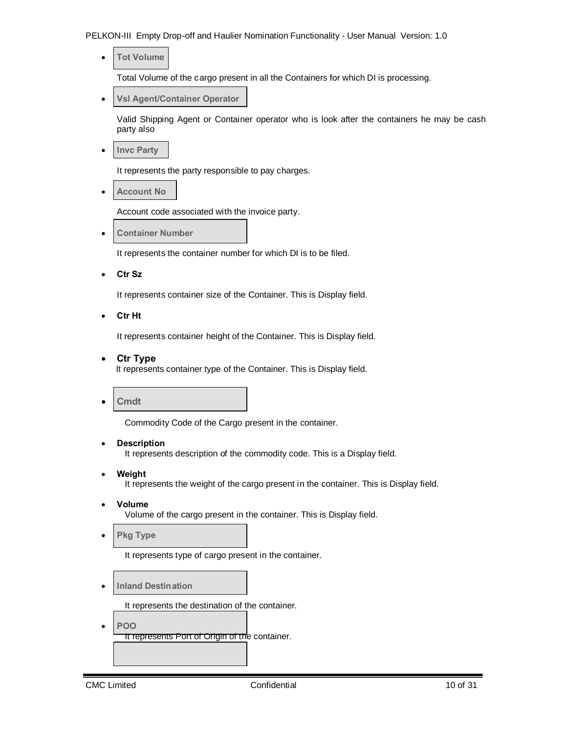· **Tot Volume**

Total Volume of the cargo present in all the Containers for which DI is processing.

**Vsl Agent/Container Operator** 

Valid Shipping Agent or Container operator who is look after the containers he may be cash party also

· **Invc Party**

It represents the party responsible to pay charges.

· **Account No**

Account code associated with the invoice party.

· **Container Number**

It represents the container number for which DI is to be filed.

· **Ctr Sz**

It represents container size of the Container. This is Display field.

· **Ctr Ht**

It represents container height of the Container. This is Display field.

· **Ctr Type**

It represents container type of the Container. This is Display field.

· **Cmdt**

Commodity Code of the Cargo present in the container.

· **Description**

It represents description of the commodity code. This is a Display field.

· **Weight**

It represents the weight of the cargo present in the container. This is Display field.

· **Volume** 

Volume of the cargo present in the container. This is Display field.

**Pkg Type** 

It represents type of cargo present in the container.

· **Inland Destination**

It represents the destination of the container.

· **POO**  It represents Port of Origin of the container.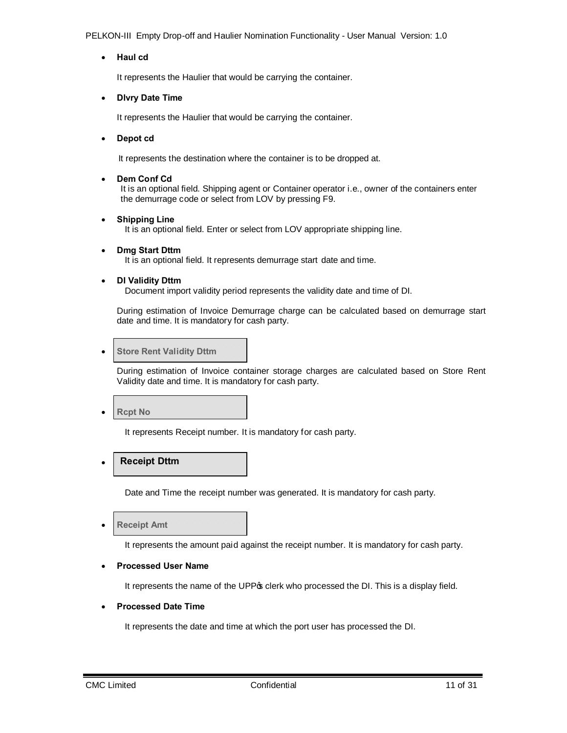· **Haul cd**

It represents the Haulier that would be carrying the container.

· **Dlvry Date Time**

It represents the Haulier that would be carrying the container.

· **Depot cd**

It represents the destination where the container is to be dropped at.

Dem Conf Cd

 It is an optional field. Shipping agent or Container operator i.e., owner of the containers enter the demurrage code or select from LOV by pressing F9.

· **Shipping Line**

It is an optional field. Enter or select from LOV appropriate shipping line.

- · **Dmg Start Dttm** It is an optional field. It represents demurrage start date and time.
- · **DI Validity Dttm**

Document import validity period represents the validity date and time of DI.

During estimation of Invoice Demurrage charge can be calculated based on demurrage start date and time. It is mandatory for cash party.

· **Store Rent Validity Dttm**

During estimation of Invoice container storage charges are calculated based on Store Rent Validity date and time. It is mandatory for cash party.

· **Rcpt No**

It represents Receipt number. It is mandatory for cash party.

#### · **Receipt Dttm**

Date and Time the receipt number was generated. It is mandatory for cash party.

**Receipt Amt** 

It represents the amount paid against the receipt number. It is mandatory for cash party.

### · **Processed User Name**

It represents the name of the UPP<sub>\$</sub> clerk who processed the DI. This is a display field.

#### · **Processed Date Time**

It represents the date and time at which the port user has processed the DI.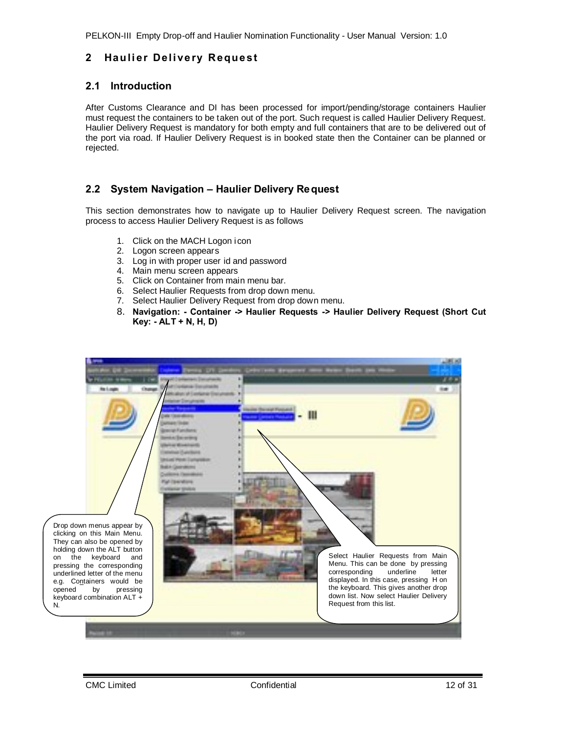# **2 Haulier Delivery Request**

# **2.1 Introduction**

After Customs Clearance and DI has been processed for import/pending/storage containers Haulier must request the containers to be taken out of the port. Such request is called Haulier Delivery Request. Haulier Delivery Request is mandatory for both empty and full containers that are to be delivered out of the port via road. If Haulier Delivery Request is in booked state then the Container can be planned or rejected.

# **2.2 System Navigation – Haulier Delivery Request**

This section demonstrates how to navigate up to Haulier Delivery Request screen. The navigation process to access Haulier Delivery Request is as follows

- 1. Click on the MACH Logon icon
- 2. Logon screen appears
- 3. Log in with proper user id and password
- 4. Main menu screen appears
- 5. Click on Container from main menu bar.
- 6. Select Haulier Requests from drop down menu.
- 7. Select Haulier Delivery Request from drop down menu.
- <span id="page-11-1"></span><span id="page-11-0"></span>8. **Navigation: - Container -> Haulier Requests -> Haulier Delivery Request (Short Cut Key: - ALT + N, H, D)**

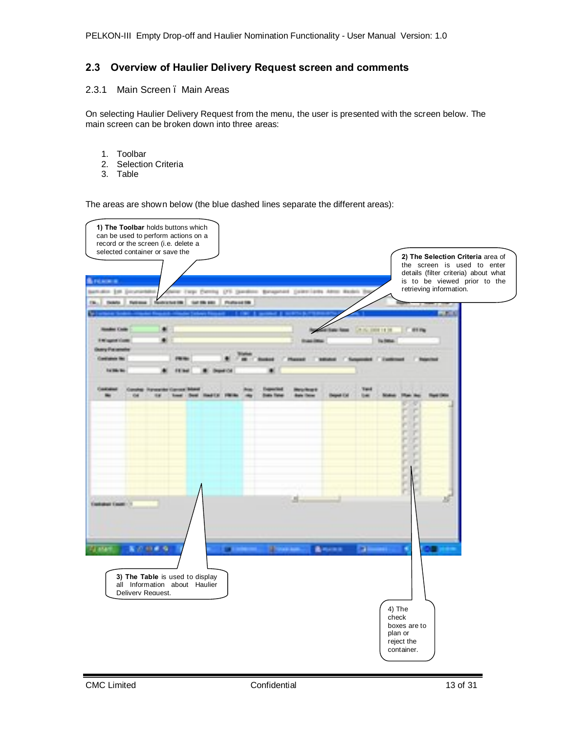# **2.3 Overview of Haulier Delivery Request screen and comments**

### 2.3.1 Main Screen . Main Areas

On selecting Haulier Delivery Request from the menu, the user is presented with the screen below. The main screen can be broken down into three areas:

- 1. Toolbar
- 2. Selection Criteria
- 3. Table

<span id="page-12-1"></span><span id="page-12-0"></span>The areas are shown below (the blue dashed lines separate the different areas):

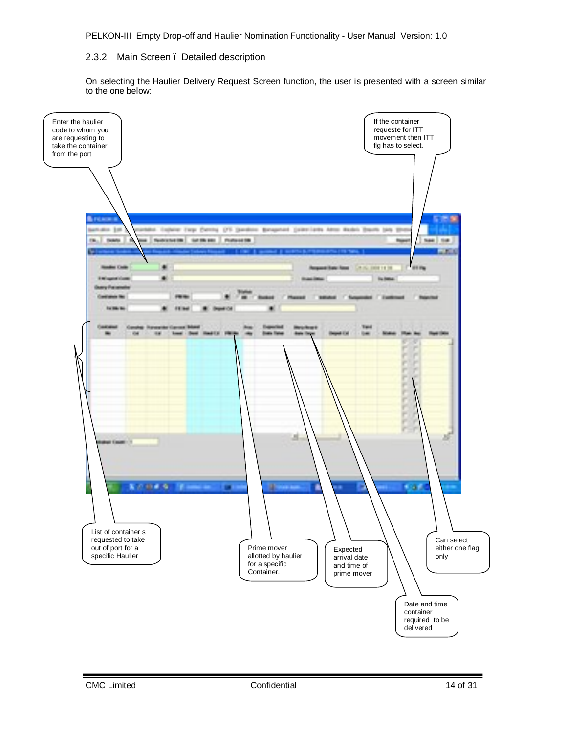### 2.3.2 Main Screen . Detailed description

<span id="page-13-0"></span>On selecting the Haulier Delivery Request Screen function, the user is presented with a screen similar to the one below:

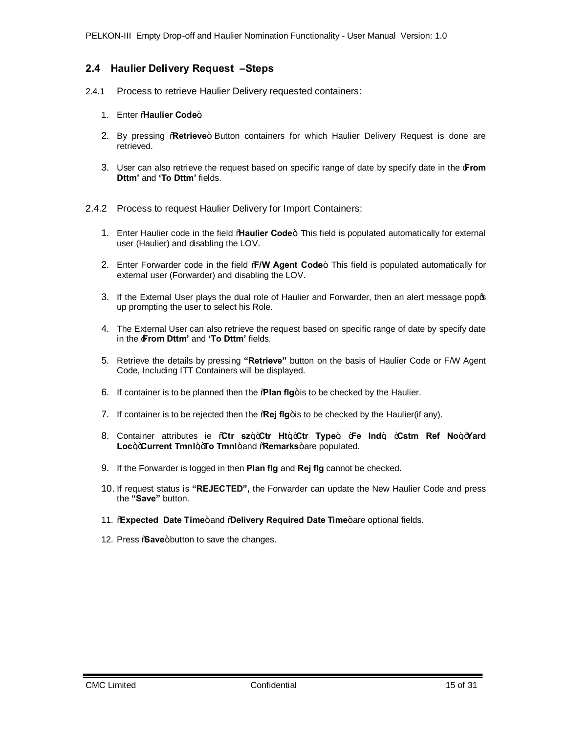# **2.4 Haulier Delivery Request –Steps**

- 2.4.1 Process to retrieve Haulier Delivery requested containers:
	- 1. Enter **Maulier Code**+
	- 2. By pressing **Retrieve**+ Button containers for which Haulier Delivery Request is done are retrieved.
	- 3. User can also retrieve the request based on specific range of date by specify date in the '**From Dttm'** and **'To Dttm'** fields.
- <span id="page-14-1"></span><span id="page-14-0"></span>2.4.2 Process to request Haulier Delivery for Import Containers:
	- 1. Enter Haulier code in the field "**Haulier Code**+ This field is populated automatically for external user (Haulier) and disabling the LOV.
	- 2. Enter Forwarder code in the field % W Agent Code+ This field is populated automatically for external user (Forwarder) and disabling the LOV.
	- 3. If the External User plays the dual role of Haulier and Forwarder, then an alert message popos up prompting the user to select his Role.
	- 4. The External User can also retrieve the request based on specific range of date by specify date in the '**From Dttm'** and **'To Dttm'** fields.
	- 5. Retrieve the details by pressing **"Retrieve"** button on the basis of Haulier Code or F/W Agent Code, Including ITT Containers will be displayed.
	- 6. If container is to be planned then the **"Rian fig**+ is to be checked by the Haulier.
	- 7. If container is to be rejected then the **Regi flg**+is to be checked by the Haulier(if any).
	- 8. Container attributes ie %Gtr sz+,+Ctr Ht+,+Ctr Type+, +Fe Ind+, +Cstm Ref No+,+Yard Loc<sub>+</sub>+Current Tmnl++To Tmnl+and %Remarks+are populated.
	- 9. If the Forwarder is logged in then **Plan flg** and **Rej flg** cannot be checked.
	- 10. If request status is **"REJECTED",** the Forwarder can update the New Haulier Code and press the **"Save"** button.
	- 11. **Expected Date Time**+and **@elivery Required Date Time**+are optional fields.
	- 12. Press *Save+button to save the changes.*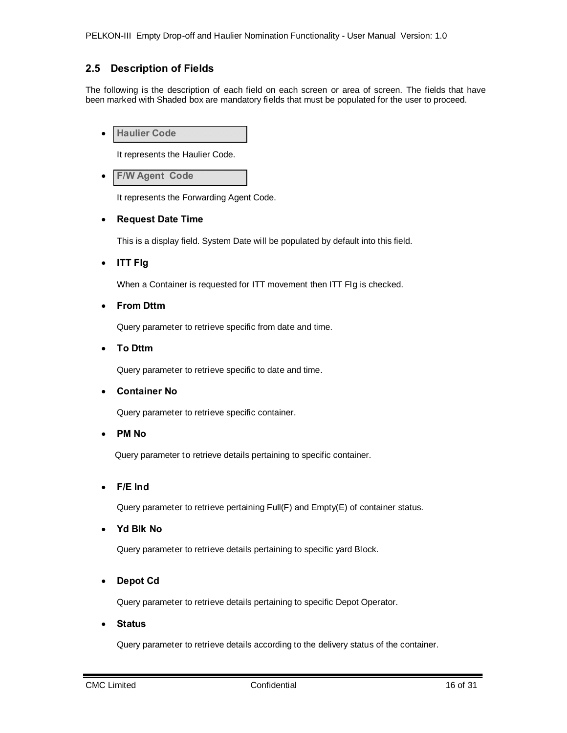# **2.5 Description of Fields**

The following is the description of each field on each screen or area of screen. The fields that have been marked with Shaded box are mandatory fields that must be populated for the user to proceed.

· **Haulier Code**

It represents the Haulier Code.

**F/W Agent Code** 

It represents the Forwarding Agent Code.

### · **Request Date Time**

This is a display field. System Date will be populated by default into this field.

· **ITT Flg**

When a Container is requested for ITT movement then ITT Flg is checked.

· **From Dttm** 

Query parameter to retrieve specific from date and time.

· **To Dttm** 

Query parameter to retrieve specific to date and time.

· **Container No**

Query parameter to retrieve specific container.

· **PM No**

Query parameter to retrieve details pertaining to specific container.

· **F/E Ind**

Query parameter to retrieve pertaining Full(F) and Empty(E) of container status.

· **Yd Blk No**

Query parameter to retrieve details pertaining to specific yard Block.

· **Depot Cd**

Query parameter to retrieve details pertaining to specific Depot Operator.

· **Status**

<span id="page-15-0"></span>Query parameter to retrieve details according to the delivery status of the container.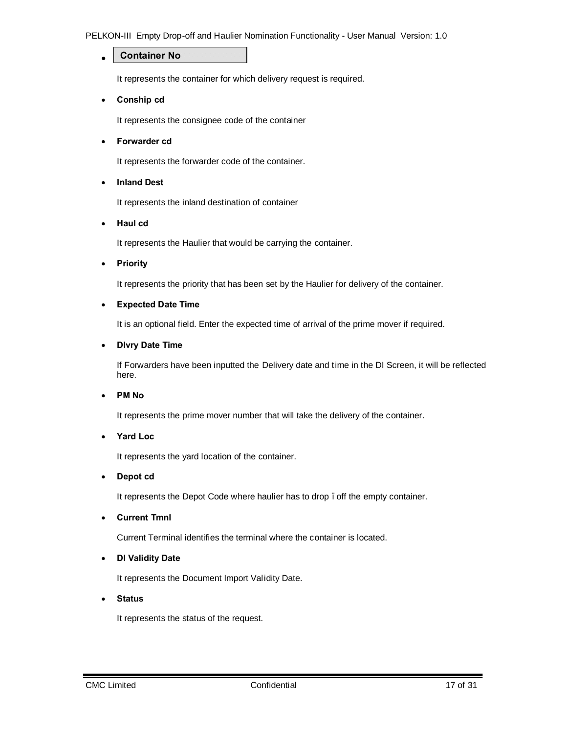#### · **Container No**

It represents the container for which delivery request is required.

· **Conship cd**

It represents the consignee code of the container

· **Forwarder cd**

It represents the forwarder code of the container.

· **Inland Dest**

It represents the inland destination of container

· **Haul cd**

It represents the Haulier that would be carrying the container.

· **Priority**

It represents the priority that has been set by the Haulier for delivery of the container.

### · **Expected Date Time**

It is an optional field. Enter the expected time of arrival of the prime mover if required.

### · **Dlvry Date Time**

If Forwarders have been inputted the Delivery date and time in the DI Screen, it will be reflected here.

### · **PM No**

It represents the prime mover number that will take the delivery of the container.

### · **Yard Loc**

It represents the yard location of the container.

### · **Depot cd**

It represents the Depot Code where haulier has to drop. off the empty container.

· **Current Tmnl**

Current Terminal identifies the terminal where the container is located.

### · **DI Validity Date**

It represents the Document Import Validity Date.

· **Status**

It represents the status of the request.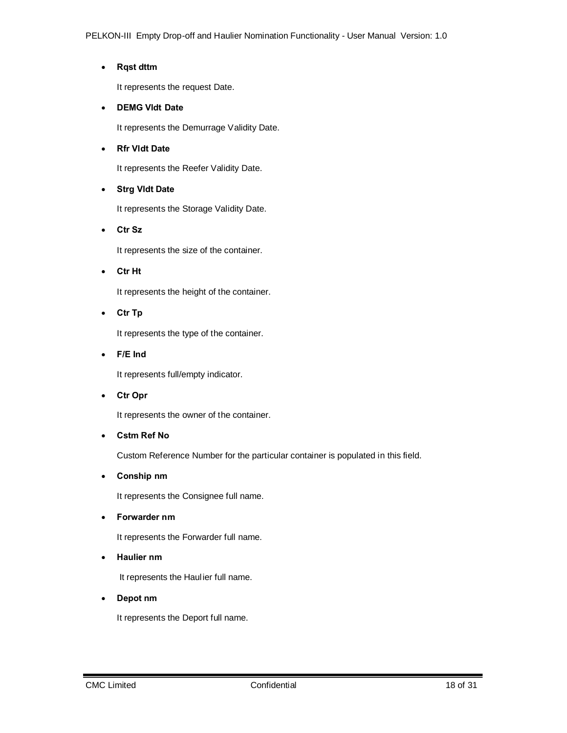# · **Rqst dttm**

It represents the request Date.

## · **DEMG Vldt Date**

It represents the Demurrage Validity Date.

### · **Rfr Vldt Date**

It represents the Reefer Validity Date.

# · **Strg Vldt Date**

It represents the Storage Validity Date.

· **Ctr Sz**

It represents the size of the container.

· **Ctr Ht**

It represents the height of the container.

· **Ctr Tp**

It represents the type of the container.

· **F/E Ind**

It represents full/empty indicator.

· **Ctr Opr**

It represents the owner of the container.

· **Cstm Ref No**

Custom Reference Number for the particular container is populated in this field.

· **Conship nm**

It represents the Consignee full name.

· **Forwarder nm**

It represents the Forwarder full name.

· **Haulier nm**

It represents the Haulier full name.

· **Depot nm**

It represents the Deport full name.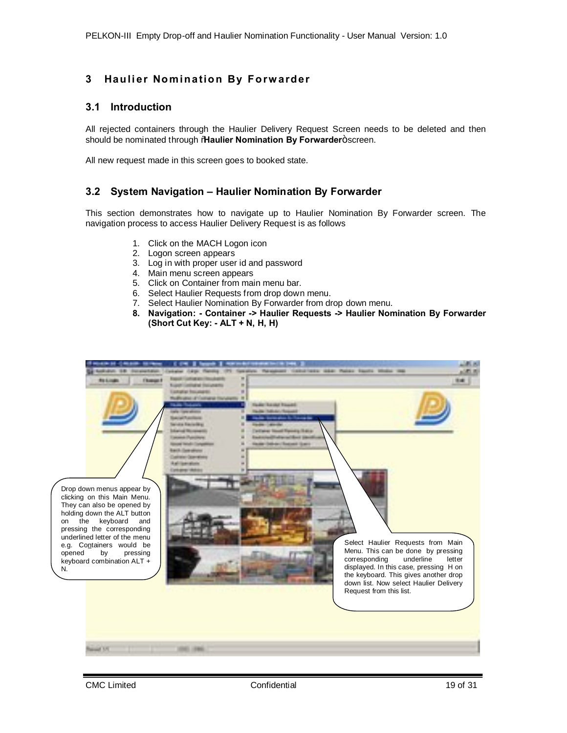# **3** Haulier Nomination By Forwarder

## **3.1 Introduction**

All rejected containers through the Haulier Delivery Request Screen needs to be deleted and then should be nominated through **"Haulier Nomination By Forwarder**+screen.

All new request made in this screen goes to booked state.

# **3.2 System Navigation – Haulier Nomination By Forwarder**

This section demonstrates how to navigate up to Haulier Nomination By Forwarder screen. The navigation process to access Haulier Delivery Request is as follows

- 1. Click on the MACH Logon icon
- 2. Logon screen appears
- 3. Log in with proper user id and password
- 4. Main menu screen appears
- 5. Click on Container from main menu bar.
- 6. Select Haulier Requests from drop down menu.
- 7. Select Haulier Nomination By Forwarder from drop down menu.
- <span id="page-18-1"></span><span id="page-18-0"></span>**8. Navigation: - Container -> Haulier Requests -> Haulier Nomination By Forwarder (Short Cut Key: - ALT + N, H, H)**

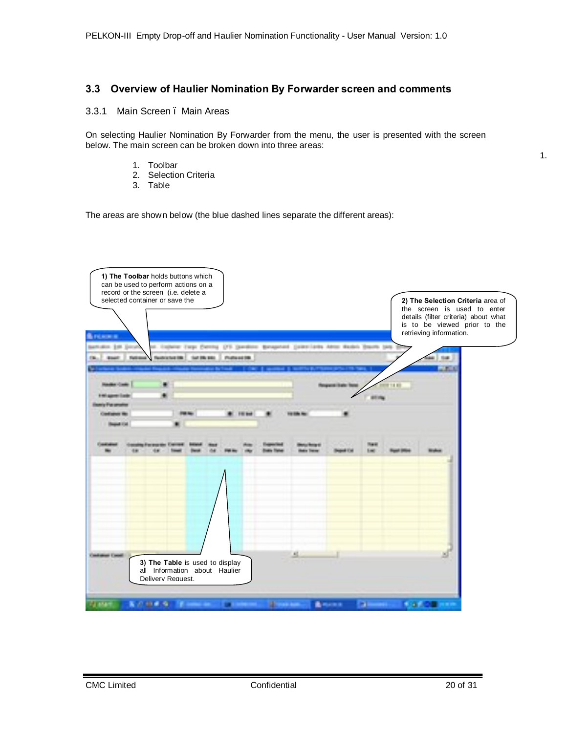# **3.3 Overview of Haulier Nomination By Forwarder screen and comments**

### 3.3.1 Main Screen . Main Areas

On selecting Haulier Nomination By Forwarder from the menu, the user is presented with the screen below. The main screen can be broken down into three areas:

- 1. Toolbar
- 2. Selection Criteria
- 3. Table

The areas are shown below (the blue dashed lines separate the different areas):



<span id="page-19-1"></span><span id="page-19-0"></span>1.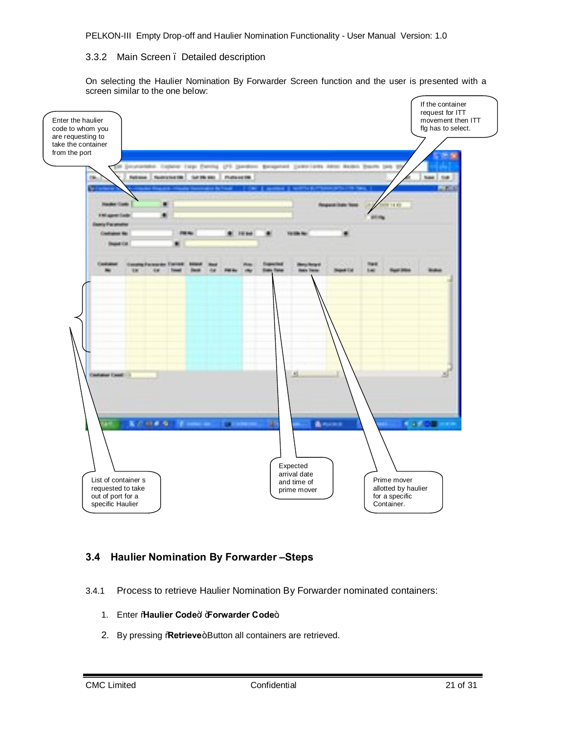### 3.3.2 Main Screen – Detailed description

On selecting the Haulier Nomination By Forwarder Screen function and the user is presented with a screen similar to the one below:



# **3.4 Haulier Nomination By Forwarder –Steps**

- <span id="page-20-1"></span><span id="page-20-0"></span>3.4.1 Process to retrieve Haulier Nomination By Forwarder nominated containers:
	- 1. Enter %Haulier Code<sup>+</sup> + **Forwarder Code**+.
	- 2. By pressing **Retrieve**+Button all containers are retrieved.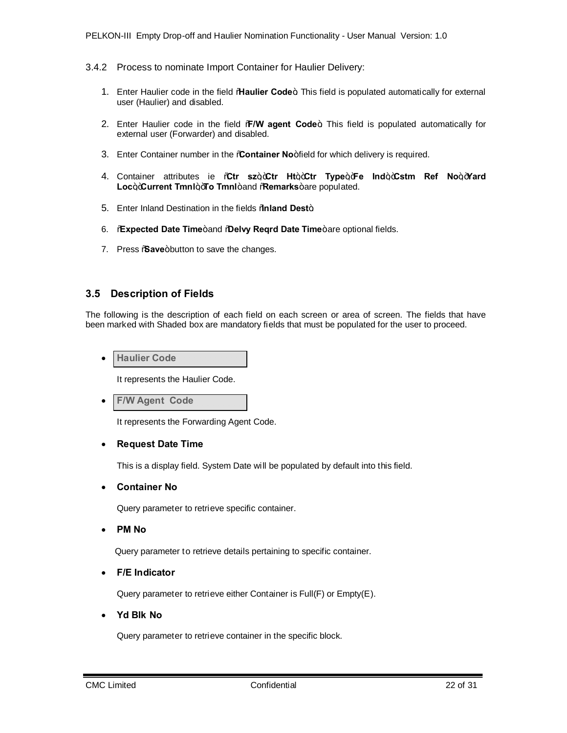- 3.4.2 Process to nominate Import Container for Haulier Delivery:
	- 1. Enter Haulier code in the field "**Haulier Code**+ This field is populated automatically for external user (Haulier) and disabled.
	- 2. Enter Haulier code in the field **%V agent Code**  $\pm$  This field is populated automatically for external user (Forwarder) and disabled.
	- 3. Enter Container number in the **Container No**+field for which delivery is required.
	- 4. Container attributes ie "**Ctr sz**","**Ctr Ht**","**Ctr Type**","**Fe Ind**","**Cstm Ref No**","**Yard** Loc<sub>+</sub>+Current Tmnl+<sub>+</sub>To Tmnl+and \Remarks+are populated.
	- 5. Enter Inland Destination in the fields **%aland Dest**+
	- **6. Expected Date Time**+and **@elvy Reqrd Date Time**+are optional fields.
	- 7. Press % ave+button to save the changes.

### **3.5 Description of Fields**

The following is the description of each field on each screen or area of screen. The fields that have been marked with Shaded box are mandatory fields that must be populated for the user to proceed.

**Haulier Code** 

It represents the Haulier Code.

**F/W Agent Code** 

It represents the Forwarding Agent Code.

#### · **Request Date Time**

This is a display field. System Date will be populated by default into this field.

· **Container No**

Query parameter to retrieve specific container.

· **PM No**

Query parameter to retrieve details pertaining to specific container.

· **F/E Indicator**

Query parameter to retrieve either Container is Full(F) or Empty(E).

· **Yd Blk No**

<span id="page-21-1"></span><span id="page-21-0"></span>Query parameter to retrieve container in the specific block.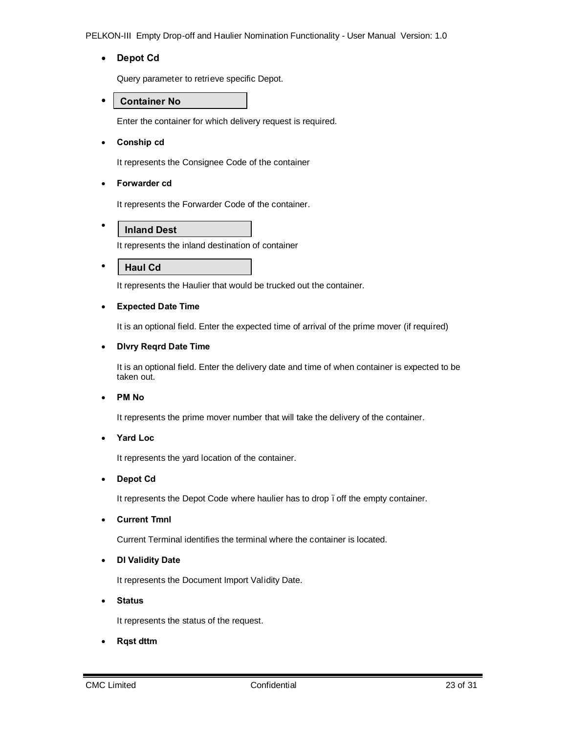· **Depot Cd**

Query parameter to retrieve specific Depot.

· **Container No**

Enter the container for which delivery request is required.

· **Conship cd**

It represents the Consignee Code of the container

· **Forwarder cd**

It represents the Forwarder Code of the container.

**Inland Dest**

It represents the inland destination of container

· **Haul Cd**

·

It represents the Haulier that would be trucked out the container.

### · **Expected Date Time**

It is an optional field. Enter the expected time of arrival of the prime mover (if required)

### · **Dlvry Reqrd Date Time**

It is an optional field. Enter the delivery date and time of when container is expected to be taken out.

· **PM No**

It represents the prime mover number that will take the delivery of the container.

· **Yard Loc**

It represents the yard location of the container.

· **Depot Cd**

It represents the Depot Code where haulier has to drop . off the empty container.

· **Current Tmnl**

Current Terminal identifies the terminal where the container is located.

· **DI Validity Date**

It represents the Document Import Validity Date.

· **Status**

It represents the status of the request.

· **Rqst dttm**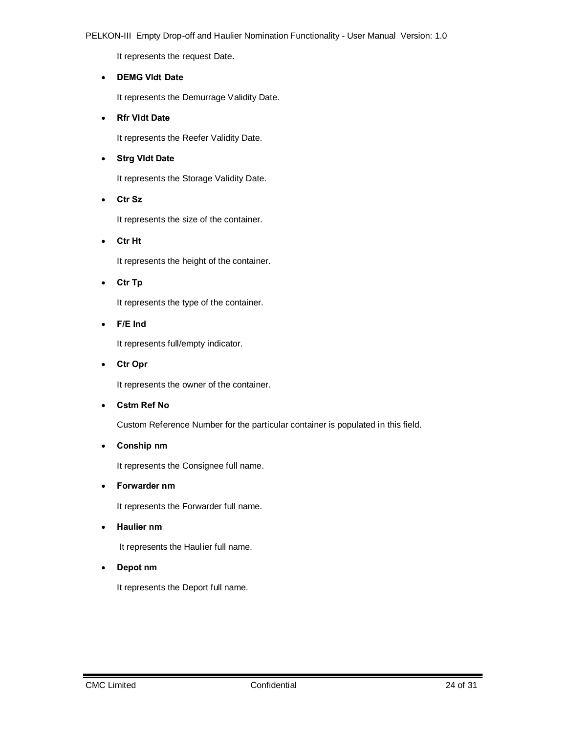It represents the request Date.

### · **DEMG Vldt Date**

It represents the Demurrage Validity Date.

### · **Rfr Vldt Date**

It represents the Reefer Validity Date.

### · **Strg Vldt Date**

It represents the Storage Validity Date.

### · **Ctr Sz**

It represents the size of the container.

· **Ctr Ht**

It represents the height of the container.

· **Ctr Tp**

It represents the type of the container.

· **F/E Ind**

It represents full/empty indicator.

· **Ctr Opr**

It represents the owner of the container.

· **Cstm Ref No**

Custom Reference Number for the particular container is populated in this field.

· **Conship nm**

It represents the Consignee full name.

· **Forwarder nm**

It represents the Forwarder full name.

· **Haulier nm**

It represents the Haulier full name.

· **Depot nm**

It represents the Deport full name.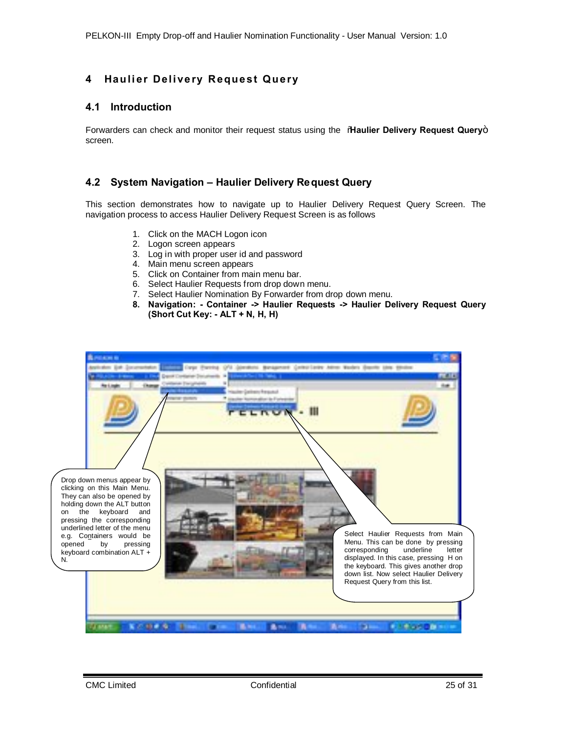# **4 Haulier Delivery Request Query**

# **4.1 Introduction**

Forwarders can check and monitor their request status using the "**Haulier Delivery Request Query**" screen.

# **4.2 System Navigation – Haulier Delivery Request Query**

This section demonstrates how to navigate up to Haulier Delivery Request Query Screen. The navigation process to access Haulier Delivery Request Screen is as follows

- 1. Click on the MACH Logon icon
- 2. Logon screen appears
- 3. Log in with proper user id and password
- 4. Main menu screen appears
- 5. Click on Container from main menu bar.
- 6. Select Haulier Requests from drop down menu.
- 7. Select Haulier Nomination By Forwarder from drop down menu.
- <span id="page-24-1"></span><span id="page-24-0"></span>**8. Navigation: - Container -> Haulier Requests -> Haulier Delivery Request Query (Short Cut Key: - ALT + N, H, H)**

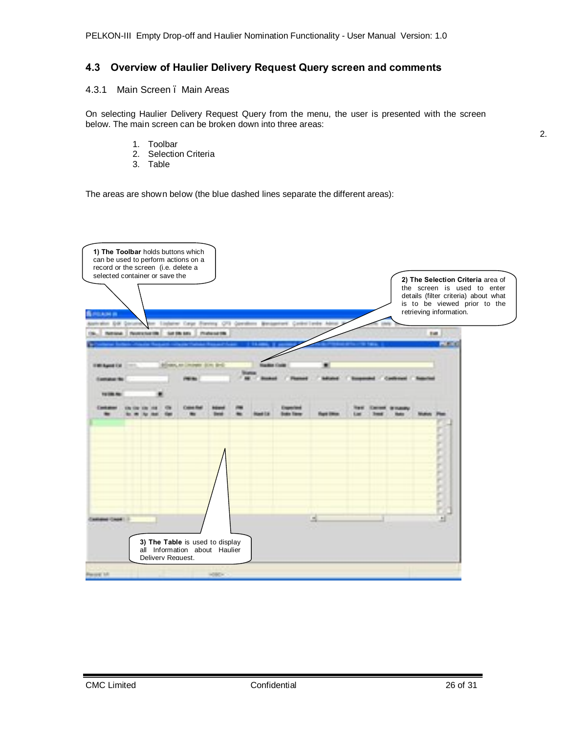# **4.3 Overview of Haulier Delivery Request Query screen and comments**

### 4.3.1 Main Screen . Main Areas

On selecting Haulier Delivery Request Query from the menu, the user is presented with the screen below. The main screen can be broken down into three areas:

- 1. Toolbar
- 2. Selection Criteria
- <span id="page-25-1"></span><span id="page-25-0"></span>3. Table

The areas are shown below (the blue dashed lines separate the different areas):

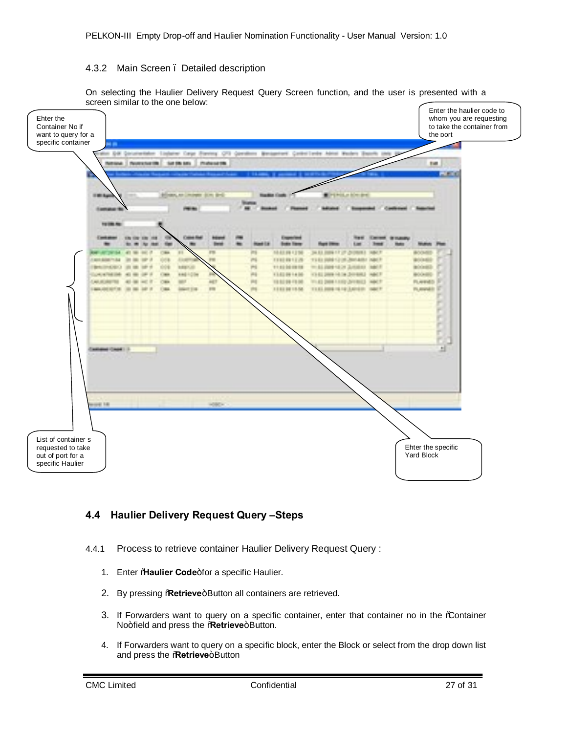### 4.3.2 Main Screen – Detailed description

On selecting the Haulier Delivery Request Query Screen function, and the user is presented with a screen similar to the one below:



# **4.4 Haulier Delivery Request Query –Steps**

- <span id="page-26-1"></span><span id="page-26-0"></span>4.4.1 Process to retrieve container Haulier Delivery Request Query :
	- 1. Enter **%Haulier Code**+for a specific Haulier.
	- 2. By pressing **Retrieve**+Button all containers are retrieved.
	- 3. If Forwarders want to query on a specific container, enter that container no in the % ontainer No+field and press the **Retrieve**+Button.
	- 4. If Forwarders want to query on a specific block, enter the Block or select from the drop down list and press the **Retrieve**+Button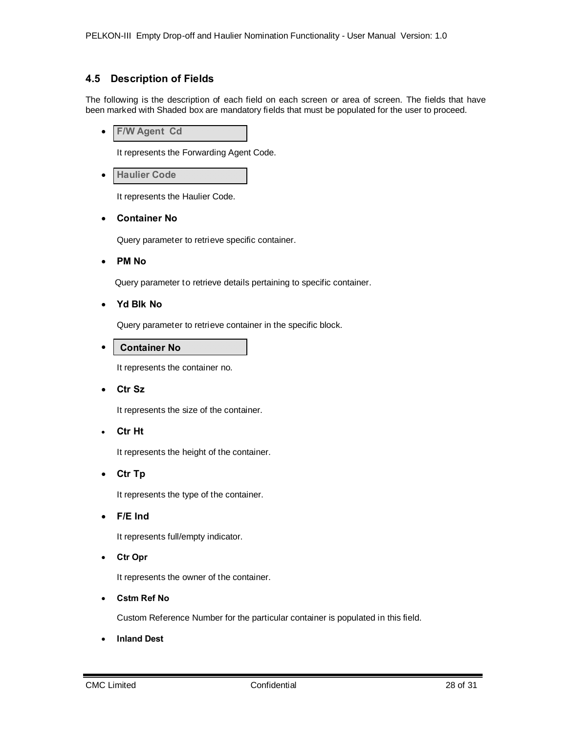# **4.5 Description of Fields**

The following is the description of each field on each screen or area of screen. The fields that have been marked with Shaded box are mandatory fields that must be populated for the user to proceed.

· **F/W Agent Cd**

It represents the Forwarding Agent Code.

· **Haulier Code**

It represents the Haulier Code.

· **Container No**

Query parameter to retrieve specific container.

· **PM No**

Query parameter to retrieve details pertaining to specific container.

· **Yd Blk No**

Query parameter to retrieve container in the specific block.

· **Container No**

It represents the container no.

· **Ctr Sz**

It represents the size of the container.

· **Ctr Ht**

It represents the height of the container.

· **Ctr Tp**

It represents the type of the container.

· **F/E Ind**

It represents full/empty indicator.

· **Ctr Opr**

It represents the owner of the container.

· **Cstm Ref No**

Custom Reference Number for the particular container is populated in this field.

· **Inland Dest**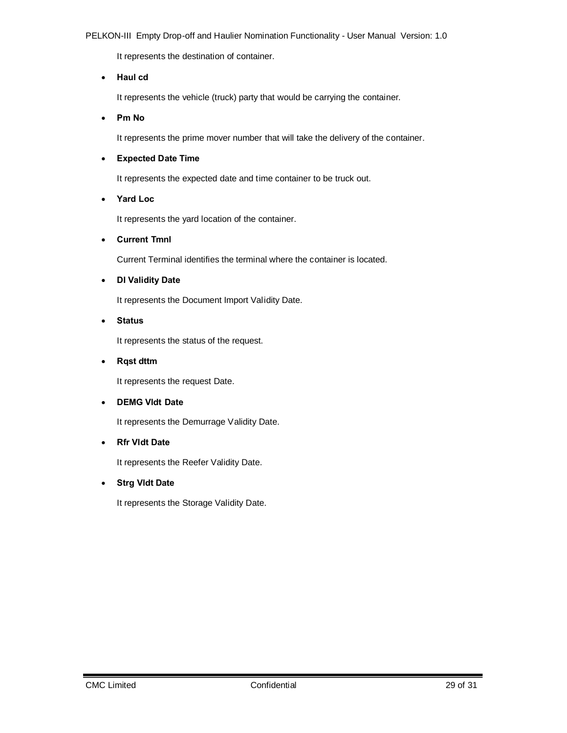It represents the destination of container.

### · **Haul cd**

It represents the vehicle (truck) party that would be carrying the container.

· **Pm No**

It represents the prime mover number that will take the delivery of the container.

### · **Expected Date Time**

It represents the expected date and time container to be truck out.

· **Yard Loc**

It represents the yard location of the container.

· **Current Tmnl**

Current Terminal identifies the terminal where the container is located.

· **DI Validity Date**

It represents the Document Import Validity Date.

· **Status**

It represents the status of the request.

· **Rqst dttm**

It represents the request Date.

### · **DEMG Vldt Date**

It represents the Demurrage Validity Date.

### · **Rfr Vldt Date**

It represents the Reefer Validity Date.

### · **Strg Vldt Date**

It represents the Storage Validity Date.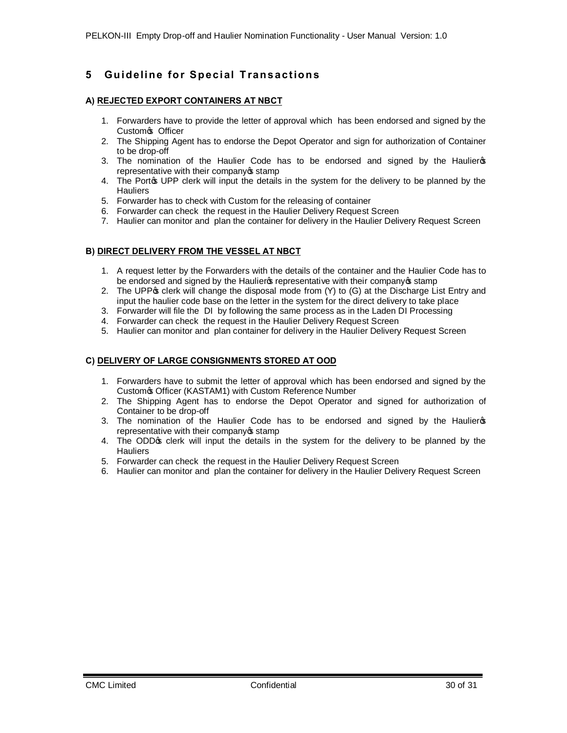# **5 Gu id e lin e fo r Sp e c ial T ra n s a c t io n s**

### **A) REJECTED EXPORT CONTAINERS AT NBCT**

- 1. Forwarders have to provide the letter of approval which has been endorsed and signed by the Custom<sub>o</sub> Officer
- 2. The Shipping Agent has to endorse the Depot Operator and sign for authorization of Container to be drop-off
- 3. The nomination of the Haulier Code has to be endorsed and signed by the Haulier's representative with their company of stamp
- 4. The Portos UPP clerk will input the details in the system for the delivery to be planned by the **Hauliers**
- 5. Forwarder has to check with Custom for the releasing of container
- 6. Forwarder can check the request in the Haulier Delivery Request Screen
- 7. Haulier can monitor and plan the container for delivery in the Haulier Delivery Request Screen

### **B) DIRECT DELIVERY FROM THE VESSEL AT NBCT**

- 1. A request letter by the Forwarders with the details of the container and the Haulier Code has to be endorsed and signed by the Haulier of representative with their company of stamp
- 2. The UPP of clerk will change the disposal mode from (Y) to (G) at the Discharge List Entry and input the haulier code base on the letter in the system for the direct delivery to take place
- 3. Forwarder will file the DI by following the same process as in the Laden DI Processing
- 4. Forwarder can check the request in the Haulier Delivery Request Screen
- 5. Haulier can monitor and plan container for delivery in the Haulier Delivery Request Screen

### **C) DELIVERY OF LARGE CONSIGNMENTS STORED AT OOD**

- 1. Forwarders have to submit the letter of approval which has been endorsed and signed by the Custom's Officer (KASTAM1) with Custom Reference Number
- 2. The Shipping Agent has to endorse the Depot Operator and signed for authorization of Container to be drop-off
- 3. The nomination of the Haulier Code has to be endorsed and signed by the Haulier op representative with their company of stamp
- 4. The ODD op clerk will input the details in the system for the delivery to be planned by the **Hauliers**
- 5. Forwarder can check the request in the Haulier Delivery Request Screen
- 6. Haulier can monitor and plan the container for delivery in the Haulier Delivery Request Screen